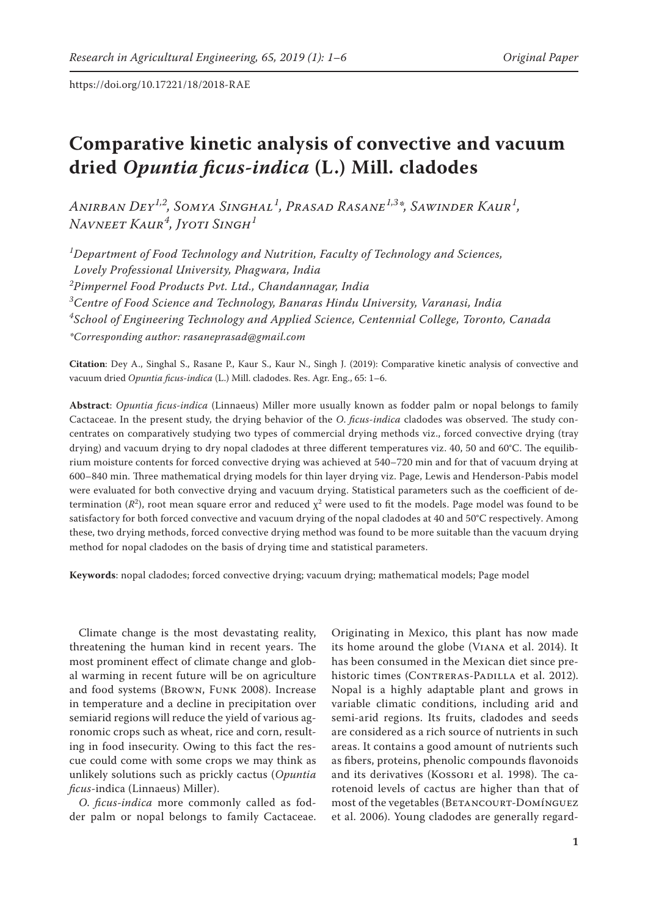# **Comparative kinetic analysis of convective and vacuum dried** *Opuntia ficus***-***indica* **(L.) Mill. cladodes**

*Anirban Dey1,2, Somya Singhal1 , Prasad Rasane1,3\*, Sawinder Kaur1 , Navneet Kaur<sup>4</sup> , Jyoti Singh<sup>1</sup>*

 *Department of Food Technology and Nutrition, Faculty of Technology and Sciences, Lovely Professional University, Phagwara, India Pimpernel Food Products Pvt. Ltd., Chandannagar, India Centre of Food Science and Technology, Banaras Hindu University, Varanasi, India School of Engineering Technology and Applied Science, Centennial College, Toronto, Canada \*Corresponding author: rasaneprasad@gmail.com*

**Citation**: Dey A., Singhal S., Rasane P., Kaur S., Kaur N., Singh J. (2019): Comparative kinetic analysis of convective and vacuum dried *Opuntia ficus*-*indica* (L.) Mill. cladodes. Res. Agr. Eng., 65: 1–6.

**Abstract**: *Opuntia ficus-indica* (Linnaeus) Miller more usually known as fodder palm or nopal belongs to family Cactaceae. In the present study, the drying behavior of the *O*. *ficus*-*indica* cladodes was observed. The study concentrates on comparatively studying two types of commercial drying methods viz., forced convective drying (tray drying) and vacuum drying to dry nopal cladodes at three different temperatures viz. 40, 50 and 60°C. The equilibrium moisture contents for forced convective drying was achieved at 540–720 min and for that of vacuum drying at 600–840 min. Three mathematical drying models for thin layer drying viz. Page, Lewis and Henderson-Pabis model were evaluated for both convective drying and vacuum drying. Statistical parameters such as the coefficient of determination ( $R^2$ ), root mean square error and reduced  $\chi^2$  were used to fit the models. Page model was found to be satisfactory for both forced convective and vacuum drying of the nopal cladodes at 40 and 50°C respectively. Among these, two drying methods, forced convective drying method was found to be more suitable than the vacuum drying method for nopal cladodes on the basis of drying time and statistical parameters.

**Keywords**: nopal cladodes; forced convective drying; vacuum drying; mathematical models; Page model

Climate change is the most devastating reality, threatening the human kind in recent years. The most prominent effect of climate change and global warming in recent future will be on agriculture and food systems (Brown, Funk 2008). Increase in temperature and a decline in precipitation over semiarid regions will reduce the yield of various agronomic crops such as wheat, rice and corn, resulting in food insecurity. Owing to this fact the rescue could come with some crops we may think as unlikely solutions such as prickly cactus (*Opuntia ficus*-indica (Linnaeus) Miller).

*O*. *ficus*-*indica* more commonly called as fodder palm or nopal belongs to family Cactaceae.

Originating in Mexico, this plant has now made its home around the globe (Viana et al. 2014). It has been consumed in the Mexican diet since prehistoric times (CONTRERAS-PADILLA et al. 2012). Nopal is a highly adaptable plant and grows in variable climatic conditions, including arid and semi-arid regions. Its fruits, cladodes and seeds are considered as a rich source of nutrients in such areas. It contains a good amount of nutrients such as fibers, proteins, phenolic compounds flavonoids and its derivatives (Kossori et al. 1998). The carotenoid levels of cactus are higher than that of most of the vegetables (BETANCOURT-DOMÍNGUEZ et al. 2006). Young cladodes are generally regard-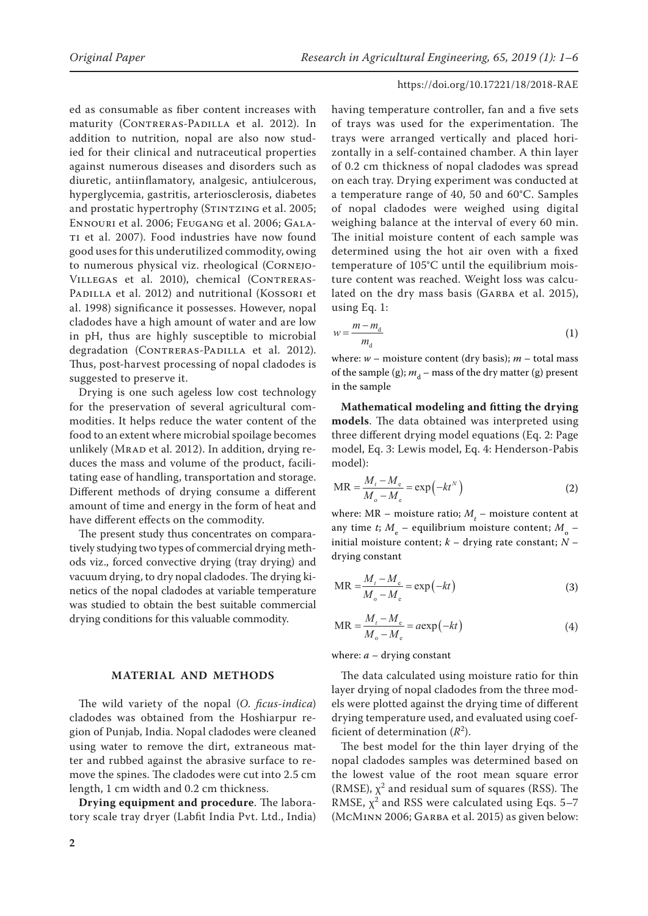ed as consumable as fiber content increases with maturity (CONTRERAS-PADILLA et al. 2012). In addition to nutrition, nopal are also now studied for their clinical and nutraceutical properties against numerous diseases and disorders such as diuretic, antiinflamatory, analgesic, antiulcerous, hyperglycemia, gastritis, arteriosclerosis, diabetes and prostatic hypertrophy (STINTZING et al. 2005; Ennouri et al. 2006; Feugang et al. 2006; Gala-TI et al. 2007). Food industries have now found good uses for this underutilized commodity, owing to numerous physical viz. rheological (Cornejo-VILLEGAS et al. 2010), chemical (CONTRERAS-PADILLA et al. 2012) and nutritional (KOSSORI et al. 1998) significance it possesses. However, nopal cladodes have a high amount of water and are low in pH, thus are highly susceptible to microbial degradation (CONTRERAS-PADILLA et al. 2012). Thus, post-harvest processing of nopal cladodes is suggested to preserve it.

Drying is one such ageless low cost technology for the preservation of several agricultural commodities. It helps reduce the water content of the food to an extent where microbial spoilage becomes unlikely (MRAD et al. 2012). In addition, drying reduces the mass and volume of the product, facilitating ease of handling, transportation and storage. Different methods of drying consume a different amount of time and energy in the form of heat and have different effects on the commodity.

The present study thus concentrates on comparatively studying two types of commercial drying methods viz., forced convective drying (tray drying) and vacuum drying, to dry nopal cladodes. The drying kinetics of the nopal cladodes at variable temperature was studied to obtain the best suitable commercial drying conditions for this valuable commodity.

#### **MATERIAL AND METHODS**

The wild variety of the nopal (*O*. *ficus-indica*) cladodes was obtained from the Hoshiarpur region of Punjab, India. Nopal cladodes were cleaned using water to remove the dirt, extraneous matter and rubbed against the abrasive surface to remove the spines. The cladodes were cut into 2.5 cm length, 1 cm width and 0.2 cm thickness.

**Drying equipment and procedure**. The laboratory scale tray dryer (Labfit India Pvt. Ltd., India) having temperature controller, fan and a five sets of trays was used for the experimentation. The trays were arranged vertically and placed horizontally in a self-contained chamber. A thin layer of 0.2 cm thickness of nopal cladodes was spread on each tray. Drying experiment was conducted at a temperature range of 40, 50 and 60°C. Samples of nopal cladodes were weighed using digital weighing balance at the interval of every 60 min. The initial moisture content of each sample was determined using the hot air oven with a fixed temperature of 105°C until the equilibrium moisture content was reached. Weight loss was calculated on the dry mass basis (GARBA et al. 2015), using Eq. 1:

$$
w = \frac{m - m_{\rm d}}{m_{\rm d}}\tag{1}
$$

where:  $w$  – moisture content (dry basis);  $m$  – total mass of the sample (g);  $m_d$  – mass of the dry matter (g) present in the sample

**Mathematical modeling and fitting the drying models**. The data obtained was interpreted using three different drying model equations (Eq. 2: Page model, Eq. 3: Lewis model, Eq. 4: Henderson-Pabis model):

$$
MR = \frac{M_t - M_e}{M_o - M_e} = \exp(-kt^N)
$$
 (2)

where:  $MR$  – moisture ratio;  $M_{t}$  – moisture content at any time *t*;  $M_e$  – equilibrium moisture content;  $M_o$  – initial moisture content; *k* – drying rate constant; *N* – drying constant

$$
MR = \frac{M_t - M_e}{M_o - M_e} = \exp(-kt)
$$
\n(3)

$$
MR = \frac{M_t - M_e}{M_o - M_e} = a \exp(-kt)
$$
\n(4)

where:  $a -$  drying constant

The data calculated using moisture ratio for thin layer drying of nopal cladodes from the three models were plotted against the drying time of different drying temperature used, and evaluated using coefficient of determination  $(R^2)$ .

The best model for the thin layer drying of the nopal cladodes samples was determined based on the lowest value of the root mean square error (RMSE),  $\chi^2$  and residual sum of squares (RSS). The RMSE,  $\chi^2$  and RSS were calculated using Eqs. 5–7 (McMinn 2006; Garba et al. 2015) as given below: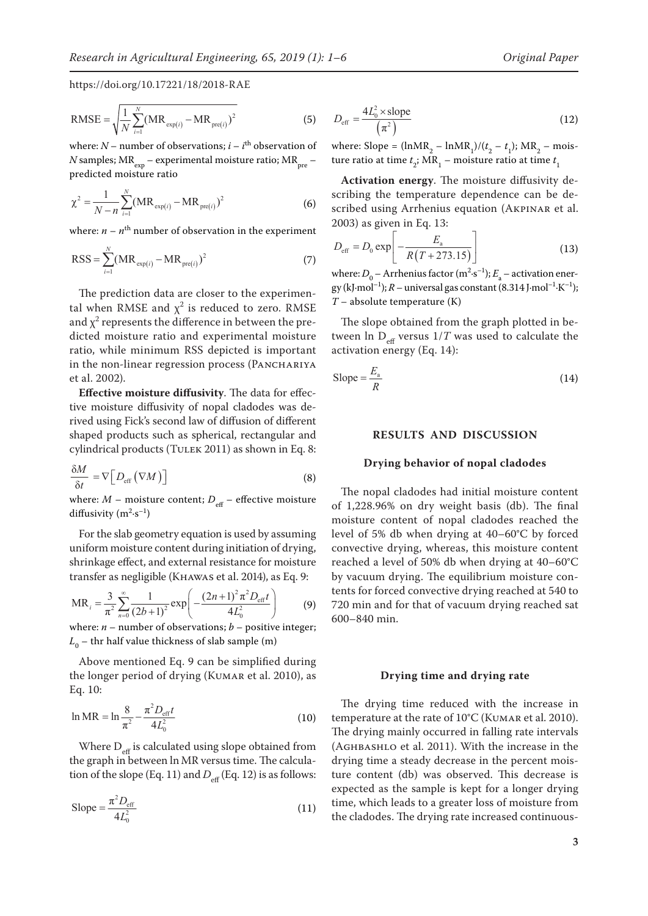RMSE = 
$$
\sqrt{\frac{1}{N} \sum_{i=1}^{N} (MR_{exp(i)} - MR_{pre(i)})^2}
$$
 (5)

where:  $N$  – number of observations;  $i - i$ <sup>th</sup> observation of *N* samples;  $MR_{\text{exp}}$  – experimental moisture ratio;  $MR_{\text{pre}}$  – predicted moisture ratio

$$
\chi^2 = \frac{1}{N - n} \sum_{i=1}^{N} (MR_{\exp(i)} - MR_{\text{pre}(i)})^2
$$
 (6)

where:  $n - n$ <sup>th</sup> number of observation in the experiment

$$
RSS = \sum_{i=1}^{N} (MR_{\exp(i)} - MR_{\text{pre}(i)})^2
$$
 (7)

The prediction data are closer to the experimental when RMSE and  $\chi^2$  is reduced to zero. RMSE and  $\chi^2$  represents the difference in between the predicted moisture ratio and experimental moisture ratio, while minimum RSS depicted is important in the non-linear regression process (PANCHARIYA et al. 2002).

**Effective moisture diffusivity**. The data for effective moisture diffusivity of nopal cladodes was derived using Fick's second law of diffusion of different shaped products such as spherical, rectangular and cylindrical products (TULEK 2011) as shown in Eq. 8:

$$
\frac{\delta M}{\delta t} = \nabla \Big[ D_{\rm eff} \left( \nabla M \right) \Big] \tag{8}
$$

where:  $M$  – moisture content;  $D_{\text{eff}}$  – effective moisture diffusivity  $(m^2 \cdot s^{-1})$ 

For the slab geometry equation is used by assuming uniform moisture content during initiation of drying, shrinkage effect, and external resistance for moisture transfer as negligible (Khawas et al. 2014), as Eq. 9:

$$
MR_i = \frac{3}{\pi^2} \sum_{n=0}^{\infty} \frac{1}{(2b+1)^2} \exp\left(-\frac{(2n+1)^2 \pi^2 D_{\text{eff}} t}{4L_0^2}\right) \tag{9}
$$

where:  $n$  – number of observations;  $b$  – positive integer;  $L^{\vphantom{\dagger}}_0$  – thr half value thickness of slab sample (m)

Above mentioned Eq. 9 can be simplified during the longer period of drying (KUMAR et al. 2010), as Eq. 10:

$$
\ln MR = \ln \frac{8}{\pi^2} - \frac{\pi^2 D_{\text{eff}} t}{4L_0^2}
$$
 (10)

Where  $D_{\text{eff}}$  is calculated using slope obtained from the graph in between ln MR versus time. The calculation of the slope (Eq. 11) and  $D_{\text{eff}}$  (Eq. 12) is as follows:

$$
\text{Slope} = \frac{\pi^2 D_{\text{eff}}}{4L_0^2} \tag{11}
$$

$$
D_{\text{eff}} = \frac{4L_0^2 \times \text{slope}}{(\pi^2)} \tag{12}
$$

where: Slope =  $(\text{InMR}_2 - \text{InMR}_1) / (t_2 - t_1)$ ; MR<sub>2</sub> – moisture ratio at time  $t_2$ ; MR<sub>1</sub> – moisture ratio at time  $t_1$ 

**Activation energy**. The moisture diffusivity describing the temperature dependence can be described using Arrhenius equation (AKPINAR et al. 2003) as given in Eq. 13:

$$
D_{\text{eff}} = D_0 \exp\left[ -\frac{E_{\text{a}}}{R(T + 273.15)} \right]
$$
 (13)

where:  $D_0$  – Arrhenius factor (m<sup>2</sup>·s<sup>-1</sup>);  $E_a$  – activation energy (kJ·mol<sup>-1</sup>);  $R$  – universal gas constant (8.314 J·mol<sup>-1</sup>·K<sup>-1</sup>); *T* – absolute temperature (K)

The slope obtained from the graph plotted in between ln  $D_{\text{eff}}$  versus  $1/T$  was used to calculate the activation energy (Eq. 14):

$$
\text{Slope} = \frac{E_a}{R} \tag{14}
$$

#### **RESULTS AND DISCUSSION**

#### **Drying behavior of nopal cladodes**

The nopal cladodes had initial moisture content of 1,228.96% on dry weight basis (db). The final moisture content of nopal cladodes reached the level of 5% db when drying at 40–60°C by forced convective drying, whereas, this moisture content reached a level of 50% db when drying at 40–60°C by vacuum drying. The equilibrium moisture contents for forced convective drying reached at 540 to 720 min and for that of vacuum drying reached sat 600–840 min.

#### **Drying time and drying rate**

The drying time reduced with the increase in temperature at the rate of 10°C (KUMAR et al. 2010). The drying mainly occurred in falling rate intervals (Aghbashlo et al. 2011). With the increase in the drying time a steady decrease in the percent moisture content (db) was observed. This decrease is expected as the sample is kept for a longer drying time, which leads to a greater loss of moisture from the cladodes. The drying rate increased continuous-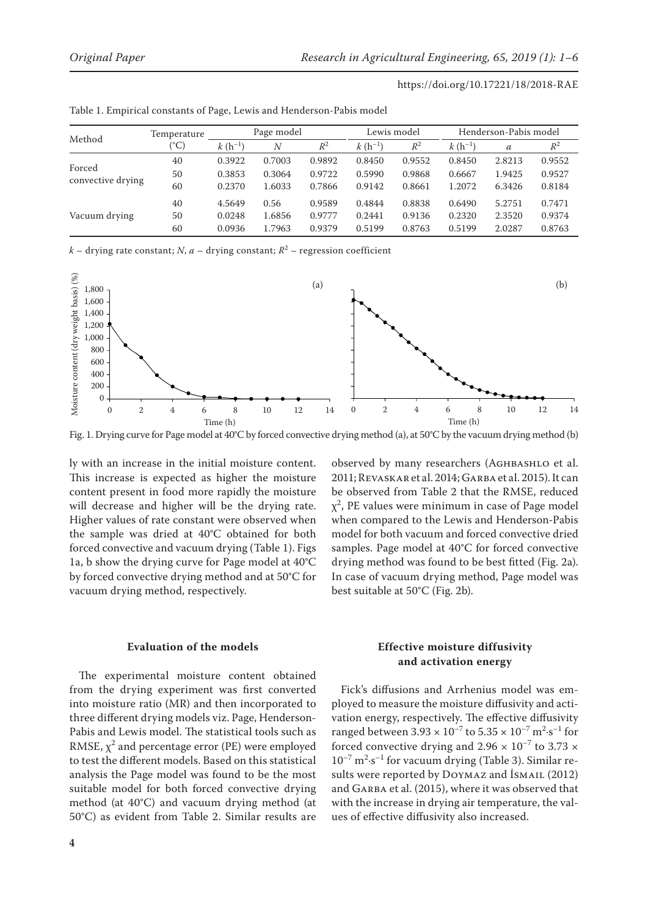| https://doi.org/10.17221/18/2018-RAE |  |
|--------------------------------------|--|
|--------------------------------------|--|

| Method                      | Temperature | Page model  |        |        | Lewis model |        | Henderson-Pabis model |               |        |
|-----------------------------|-------------|-------------|--------|--------|-------------|--------|-----------------------|---------------|--------|
|                             | (°C)        | $k(h^{-1})$ | Ν      | $R^2$  | $k(h^{-1})$ | $R^2$  | $k(h^{-1})$           | $\mathfrak a$ | $R^2$  |
| Forced<br>convective drying | 40          | 0.3922      | 0.7003 | 0.9892 | 0.8450      | 0.9552 | 0.8450                | 2.8213        | 0.9552 |
|                             | 50          | 0.3853      | 0.3064 | 0.9722 | 0.5990      | 0.9868 | 0.6667                | 1.9425        | 0.9527 |
|                             | 60          | 0.2370      | 1.6033 | 0.7866 | 0.9142      | 0.8661 | 1.2072                | 6.3426        | 0.8184 |
|                             | 40          | 4.5649      | 0.56   | 0.9589 | 0.4844      | 0.8838 | 0.6490                | 5.2751        | 0.7471 |
| Vacuum drying               | 50          | 0.0248      | 1.6856 | 0.9777 | 0.2441      | 0.9136 | 0.2320                | 2.3520        | 0.9374 |
|                             | 60          | 0.0936      | 1.7963 | 0.9379 | 0.5199      | 0.8763 | 0.5199                | 2.0287        | 0.8763 |

Table 1. Empirical constants of Page, Lewis and Henderson-Pabis model

*k* – drying rate constant; *N*, *a* – drying constant; *R*<sup>2</sup> – regression coefficient



Fig. 1. Drying curve for Page model at 40°C by forced convective drying method (a), at 50°C by the vacuum drying method (b)

ly with an increase in the initial moisture content. This increase is expected as higher the moisture content present in food more rapidly the moisture will decrease and higher will be the drying rate. Higher values of rate constant were observed when the sample was dried at 40°C obtained for both forced convective and vacuum drying (Table 1). Figs 1a, b show the drying curve for Page model at 40°C by forced convective drying method and at 50°C for vacuum drying method, respectively.

#### **Evaluation of the models**

The experimental moisture content obtained from the drying experiment was first converted into moisture ratio (MR) and then incorporated to three different drying models viz. Page, Henderson-Pabis and Lewis model. The statistical tools such as RMSE,  $\chi^2$  and percentage error (PE) were employed to test the different models. Based on this statistical analysis the Page model was found to be the most suitable model for both forced convective drying method (at 40°C) and vacuum drying method (at 50°C) as evident from Table 2. Similar results are

**4**

observed by many researchers (AGHBASHLO et al. 2011; Revaskar et al. 2014; Garba et al. 2015). It can be observed from Table 2 that the RMSE, reduced  $\chi^2$ , PE values were minimum in case of Page model when compared to the Lewis and Henderson-Pabis model for both vacuum and forced convective dried samples. Page model at 40°C for forced convective drying method was found to be best fitted (Fig. 2a). In case of vacuum drying method, Page model was best suitable at 50°C (Fig. 2b).

# **Effective moisture diffusivity and activation energy**

Fick's diffusions and Arrhenius model was employed to measure the moisture diffusivity and activation energy, respectively. The effective diffusivity ranged between  $3.93 \times 10^{-7}$  to  $5.35 \times 10^{-7}$  m<sup>2</sup>·s<sup>-1</sup> for forced convective drying and 2.96  $\times$  10<sup>-7</sup> to 3.73  $\times$  $10^{-7}$  m<sup>2</sup> $\cdot$ s<sup>-1</sup> for vacuum drying (Table 3). Similar results were reported by DOYMAZ and İSMAIL (2012) and GARBA et al. (2015), where it was observed that with the increase in drying air temperature, the values of effective diffusivity also increased.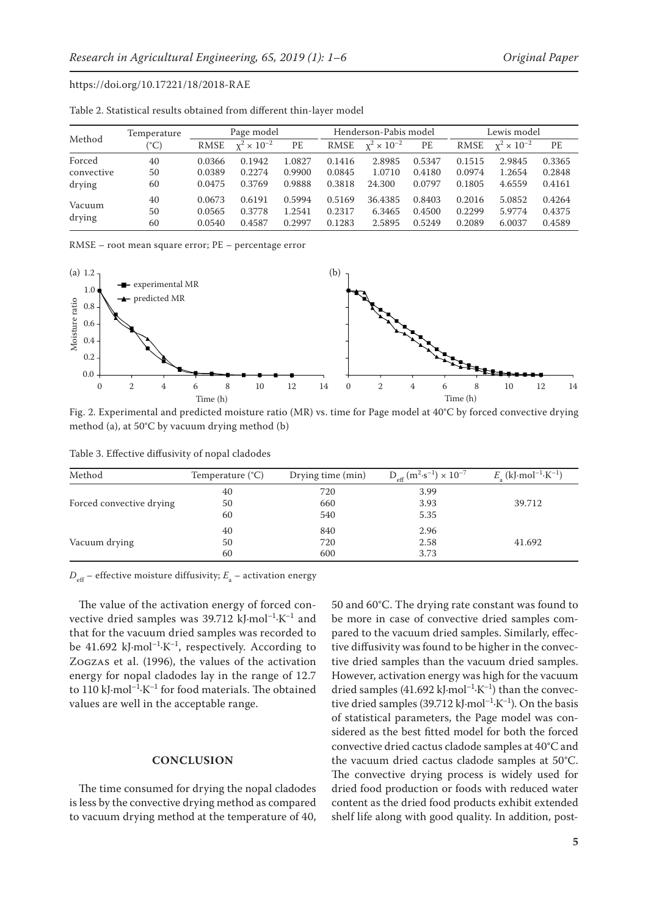| Method     | Temperature | Page model |                      | Henderson-Pabis model |             |                      | Lewis model |        |                      |        |
|------------|-------------|------------|----------------------|-----------------------|-------------|----------------------|-------------|--------|----------------------|--------|
|            | (°C)        | RMSE       | $x^2 \times 10^{-2}$ | PE                    | <b>RMSE</b> | $x^2 \times 10^{-2}$ | PE          | RMSE   | $x^2 \times 10^{-2}$ | PE     |
| Forced     | 40          | 0.0366     | 0.1942               | 1.0827                | 0.1416      | 2.8985               | 0.5347      | 0.1515 | 2.9845               | 0.3365 |
| convective | 50          | 0.0389     | 0.2274               | 0.9900                | 0.0845      | 1.0710               | 0.4180      | 0.0974 | 1.2654               | 0.2848 |
| drying     | 60          | 0.0475     | 0.3769               | 0.9888                | 0.3818      | 24.300               | 0.0797      | 0.1805 | 4.6559               | 0.4161 |
| Vacuum     | 40          | 0.0673     | 0.6191               | 0.5994                | 0.5169      | 36.4385              | 0.8403      | 0.2016 | 5.0852               | 0.4264 |
|            | 50          | 0.0565     | 0.3778               | 1.2541                | 0.2317      | 6.3465               | 0.4500      | 0.2299 | 5.9774               | 0.4375 |
| drying     | 60          | 0.0540     | 0.4587               | 0.2997                | 0.1283      | 2.5895               | 0.5249      | 0.2089 | 6.0037               | 0.4589 |

Table 2. Statistical results obtained from different thin-layer model

RMSE – root mean square error; PE – percentage error



Fig. 2. Experimental and predicted moisture ratio (MR) vs. time for Page model at 40°C by forced convective drying method (a), at 50°C by vacuum drying method (b)

|  |  | Table 3. Effective diffusivity of nopal cladodes |  |  |
|--|--|--------------------------------------------------|--|--|
|--|--|--------------------------------------------------|--|--|

| Method                   | Temperature $(C)$ | Drying time (min) | $D_{\text{eff}} (m^2 \text{·s}^{-1}) \times 10^{-7}$ | $E_{\rm a}$ (kJ·mol <sup>-1</sup> ·K <sup>-1</sup> ) |
|--------------------------|-------------------|-------------------|------------------------------------------------------|------------------------------------------------------|
|                          | 40                | 720               | 3.99                                                 |                                                      |
| Forced convective drying | 50                | 660               | 3.93                                                 | 39.712                                               |
|                          | 60                | 540               | 5.35                                                 |                                                      |
| Vacuum drying            | 40                | 840               | 2.96                                                 |                                                      |
|                          | 50                | 720               | 2.58                                                 | 41.692                                               |
|                          | 60                | 600               | 3.73                                                 |                                                      |

 $D_{\rm eff}$  – effective moisture diffusivity;  $E_{\rm a}$  – activation energy

The value of the activation energy of forced convective dried samples was 39.712 kJ·mol<sup>-1</sup>·K<sup>-1</sup> and that for the vacuum dried samples was recorded to be 41.692 kJ·mol<sup>-1</sup>·K<sup>-1</sup>, respectively. According to Zogzas et al. (1996), the values of the activation energy for nopal cladodes lay in the range of 12.7 to 110 kJ·mol<sup>-1</sup>·K<sup>-1</sup> for food materials. The obtained values are well in the acceptable range.

#### **CONCLUSION**

The time consumed for drying the nopal cladodes is less by the convective drying method as compared to vacuum drying method at the temperature of 40,

50 and 60°C. The drying rate constant was found to be more in case of convective dried samples compared to the vacuum dried samples. Similarly, effective diffusivity was found to be higher in the convective dried samples than the vacuum dried samples. However, activation energy was high for the vacuum dried samples (41.692 kJ·mol<sup>-1</sup>·K<sup>-1</sup>) than the convective dried samples (39.712 kJ·mol<sup>-1</sup>·K<sup>-1</sup>). On the basis of statistical parameters, the Page model was considered as the best fitted model for both the forced convective dried cactus cladode samples at 40°C and the vacuum dried cactus cladode samples at 50°C. The convective drying process is widely used for dried food production or foods with reduced water content as the dried food products exhibit extended shelf life along with good quality. In addition, post-